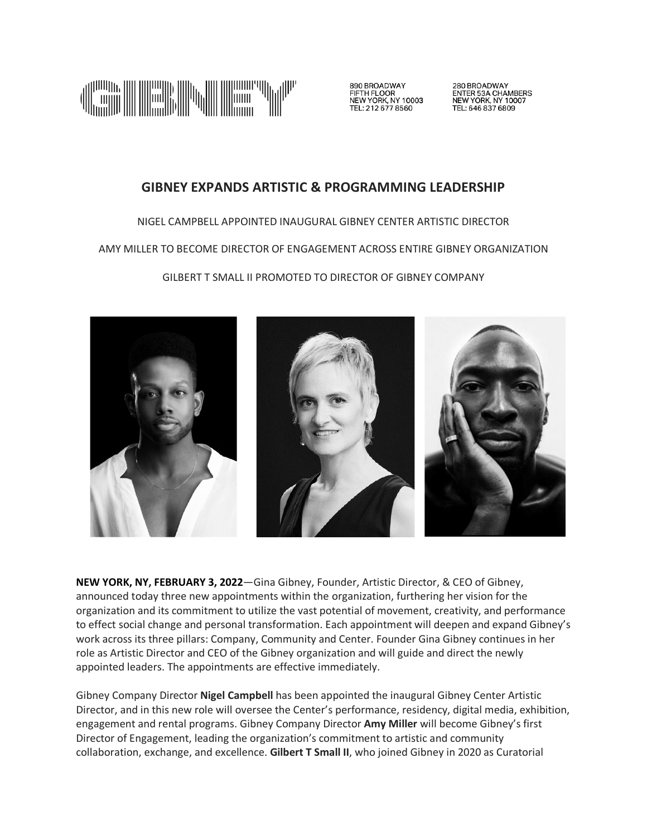

890 BROADWAY<br>FIFTH FLOOR<br>NEW YORK, NY 10003 TEL: 212 677 8560

280 BROADWAY<br>ENTER 53A CHAMBERS<br>NEW YORK, NY 10007 TEL: 646 837 6809

# **GIBNEY EXPANDS ARTISTIC & PROGRAMMING LEADERSHIP**

NIGEL CAMPBELL APPOINTED INAUGURAL GIBNEY CENTER ARTISTIC DIRECTOR

AMY MILLER TO BECOME DIRECTOR OF ENGAGEMENT ACROSS ENTIRE GIBNEY ORGANIZATION

GILBERT T SMALL II PROMOTED TO DIRECTOR OF GIBNEY COMPANY



**NEW YORK, NY, FEBRUARY 3, 2022**—Gina Gibney, Founder, Artistic Director, & CEO of Gibney, announced today three new appointments within the organization, furthering her vision for the organization and its commitment to utilize the vast potential of movement, creativity, and performance to effect social change and personal transformation. Each appointment will deepen and expand Gibney's work across its three pillars: Company, Community and Center. Founder Gina Gibney continues in her role as Artistic Director and CEO of the Gibney organization and will guide and direct the newly appointed leaders. The appointments are effective immediately.

Gibney Company Director **Nigel Campbell** has been appointed the inaugural Gibney Center Artistic Director, and in this new role will oversee the Center's performance, residency, digital media, exhibition, engagement and rental programs. Gibney Company Director **Amy Miller** will become Gibney's first Director of Engagement, leading the organization's commitment to artistic and community collaboration, exchange, and excellence. **Gilbert T Small II**, who joined Gibney in 2020 as Curatorial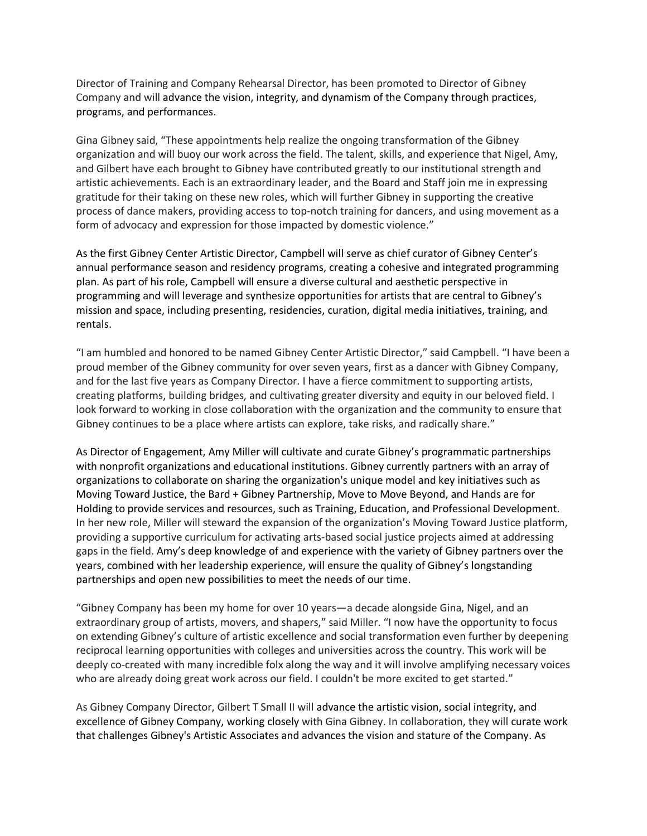Director of Training and Company Rehearsal Director, has been promoted to Director of Gibney Company and will advance the vision, integrity, and dynamism of the Company through practices, programs, and performances.

Gina Gibney said, "These appointments help realize the ongoing transformation of the Gibney organization and will buoy our work across the field. The talent, skills, and experience that Nigel, Amy, and Gilbert have each brought to Gibney have contributed greatly to our institutional strength and artistic achievements. Each is an extraordinary leader, and the Board and Staff join me in expressing gratitude for their taking on these new roles, which will further Gibney in supporting the creative process of dance makers, providing access to top-notch training for dancers, and using movement as a form of advocacy and expression for those impacted by domestic violence."

As the first Gibney Center Artistic Director, Campbell will serve as chief curator of Gibney Center's annual performance season and residency programs, creating a cohesive and integrated programming plan. As part of his role, Campbell will ensure a diverse cultural and aesthetic perspective in programming and will leverage and synthesize opportunities for artists that are central to Gibney's mission and space, including presenting, residencies, curation, digital media initiatives, training, and rentals.

"I am humbled and honored to be named Gibney Center Artistic Director," said Campbell. "I have been a proud member of the Gibney community for over seven years, first as a dancer with Gibney Company, and for the last five years as Company Director. I have a fierce commitment to supporting artists, creating platforms, building bridges, and cultivating greater diversity and equity in our beloved field. I look forward to working in close collaboration with the organization and the community to ensure that Gibney continues to be a place where artists can explore, take risks, and radically share."

As Director of Engagement, Amy Miller will cultivate and curate Gibney's programmatic partnerships with nonprofit organizations and educational institutions. Gibney currently partners with an array of organizations to collaborate on sharing the organization's unique model and key initiatives such as Moving Toward Justice, the Bard + Gibney Partnership, Move to Move Beyond, and Hands are for Holding to provide services and resources, such as Training, Education, and Professional Development. In her new role, Miller will steward the expansion of the organization's Moving Toward Justice platform, providing a supportive curriculum for activating arts-based social justice projects aimed at addressing gaps in the field. Amy's deep knowledge of and experience with the variety of Gibney partners over the years, combined with her leadership experience, will ensure the quality of Gibney's longstanding partnerships and open new possibilities to meet the needs of our time.

"Gibney Company has been my home for over 10 years—a decade alongside Gina, Nigel, and an extraordinary group of artists, movers, and shapers," said Miller. "I now have the opportunity to focus on extending Gibney's culture of artistic excellence and social transformation even further by deepening reciprocal learning opportunities with colleges and universities across the country. This work will be deeply co-created with many incredible folx along the way and it will involve amplifying necessary voices who are already doing great work across our field. I couldn't be more excited to get started."

As Gibney Company Director, Gilbert T Small II will advance the artistic vision, social integrity, and excellence of Gibney Company, working closely with Gina Gibney. In collaboration, they will curate work that challenges Gibney's Artistic Associates and advances the vision and stature of the Company. As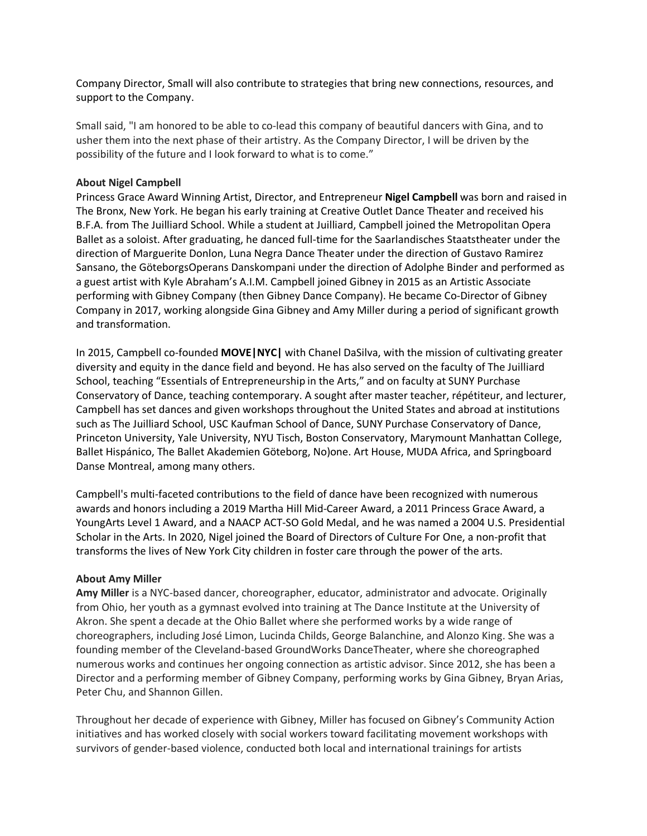Company Director, Small will also contribute to strategies that bring new connections, resources, and support to the Company.

Small said, "I am honored to be able to co-lead this company of beautiful dancers with Gina, and to usher them into the next phase of their artistry. As the Company Director, I will be driven by the possibility of the future and I look forward to what is to come."

## **About Nigel Campbell**

Princess Grace Award Winning Artist, Director, and Entrepreneur **Nigel Campbell** was born and raised in The Bronx, New York. He began his early training at Creative Outlet Dance Theater and received his B.F.A. from The Juilliard School. While a student at Juilliard, Campbell joined the Metropolitan Opera Ballet as a soloist. After graduating, he danced full-time for the Saarlandisches Staatstheater under the direction of Marguerite Donlon, Luna Negra Dance Theater under the direction of Gustavo Ramirez Sansano, the GöteborgsOperans Danskompani under the direction of Adolphe Binder and performed as a guest artist with Kyle Abraham's A.I.M. Campbell joined Gibney in 2015 as an Artistic Associate performing with Gibney Company (then Gibney Dance Company). He became Co-Director of Gibney Company in 2017, working alongside Gina Gibney and Amy Miller during a period of significant growth and transformation.

In 2015, Campbell co-founded **MOVE|NYC|** with Chanel DaSilva, with the mission of cultivating greater diversity and equity in the dance field and beyond. He has also served on the faculty of The Juilliard School, teaching "Essentials of Entrepreneurship in the Arts," and on faculty at SUNY Purchase Conservatory of Dance, teaching contemporary. A sought after master teacher, répétiteur, and lecturer, Campbell has set dances and given workshops throughout the United States and abroad at institutions such as The Juilliard School, USC Kaufman School of Dance, SUNY Purchase Conservatory of Dance, Princeton University, Yale University, NYU Tisch, Boston Conservatory, Marymount Manhattan College, Ballet Hispánico, The Ballet Akademien Göteborg, No)one. Art House, MUDA Africa, and Springboard Danse Montreal, among many others.

Campbell's multi-faceted contributions to the field of dance have been recognized with numerous awards and honors including a 2019 Martha Hill Mid-Career Award, a 2011 Princess Grace Award, a YoungArts Level 1 Award, and a NAACP ACT-SO Gold Medal, and he was named a 2004 U.S. Presidential Scholar in the Arts. In 2020, Nigel joined the Board of Directors of Culture For One, a non-profit that transforms the lives of New York City children in foster care through the power of the arts.

#### **About Amy Miller**

**Amy Miller** is a NYC-based dancer, choreographer, educator, administrator and advocate. Originally from Ohio, her youth as a gymnast evolved into training at The Dance Institute at the University of Akron. She spent a decade at the Ohio Ballet where she performed works by a wide range of choreographers, including José Limon, Lucinda Childs, George Balanchine, and Alonzo King. She was a founding member of the Cleveland-based GroundWorks DanceTheater, where she choreographed numerous works and continues her ongoing connection as artistic advisor. Since 2012, she has been a Director and a performing member of Gibney Company, performing works by Gina Gibney, Bryan Arias, Peter Chu, and Shannon Gillen.

Throughout her decade of experience with Gibney, Miller has focused on Gibney's Community Action initiatives and has worked closely with social workers toward facilitating movement workshops with survivors of gender-based violence, conducted both local and international trainings for artists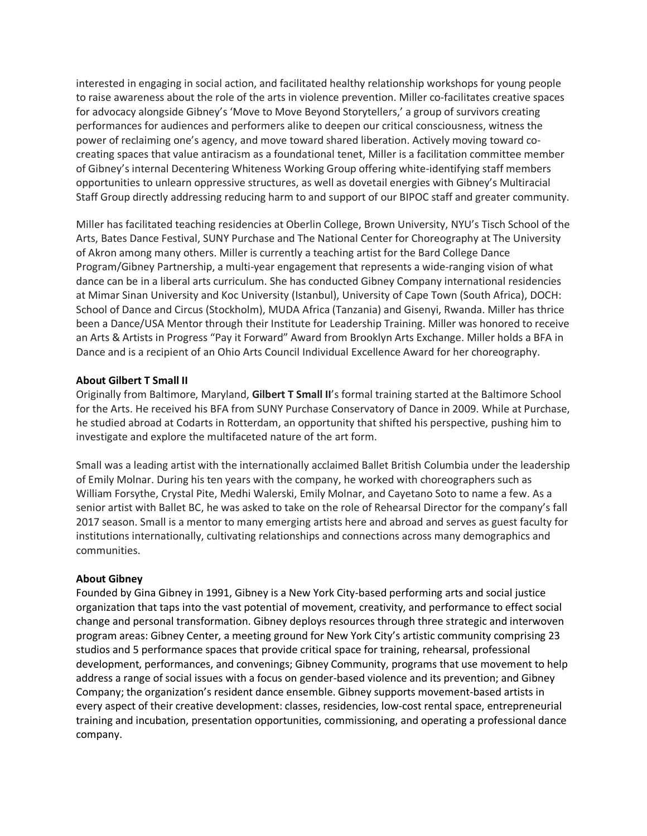interested in engaging in social action, and facilitated healthy relationship workshops for young people to raise awareness about the role of the arts in violence prevention. Miller co-facilitates creative spaces for advocacy alongside Gibney's 'Move to Move Beyond Storytellers,' a group of survivors creating performances for audiences and performers alike to deepen our critical consciousness, witness the power of reclaiming one's agency, and move toward shared liberation. Actively moving toward cocreating spaces that value antiracism as a foundational tenet, Miller is a facilitation committee member of Gibney's internal Decentering Whiteness Working Group offering white-identifying staff members opportunities to unlearn oppressive structures, as well as dovetail energies with Gibney's Multiracial Staff Group directly addressing reducing harm to and support of our BIPOC staff and greater community.

Miller has facilitated teaching residencies at Oberlin College, Brown University, NYU's Tisch School of the Arts, Bates Dance Festival, SUNY Purchase and The National Center for Choreography at The University of Akron among many others. Miller is currently a teaching artist for the Bard College Dance Program/Gibney Partnership, a multi-year engagement that represents a wide-ranging vision of what dance can be in a liberal arts curriculum. She has conducted Gibney Company international residencies at Mimar Sinan University and Koc University (Istanbul), University of Cape Town (South Africa), DOCH: School of Dance and Circus (Stockholm), MUDA Africa (Tanzania) and Gisenyi, Rwanda. Miller has thrice been a Dance/USA Mentor through their Institute for Leadership Training. Miller was honored to receive an Arts & Artists in Progress "Pay it Forward" Award from Brooklyn Arts Exchange. Miller holds a BFA in Dance and is a recipient of an Ohio Arts Council Individual Excellence Award for her choreography.

## **About Gilbert T Small II**

Originally from Baltimore, Maryland, **Gilbert T Small II**'s formal training started at the Baltimore School for the Arts. He received his BFA from SUNY Purchase Conservatory of Dance in 2009. While at Purchase, he studied abroad at Codarts in Rotterdam, an opportunity that shifted his perspective, pushing him to investigate and explore the multifaceted nature of the art form.

Small was a leading artist with the internationally acclaimed Ballet British Columbia under the leadership of Emily Molnar. During his ten years with the company, he worked with choreographers such as William Forsythe, Crystal Pite, Medhi Walerski, Emily Molnar, and Cayetano Soto to name a few. As a senior artist with Ballet BC, he was asked to take on the role of Rehearsal Director for the company's fall 2017 season. Small is a mentor to many emerging artists here and abroad and serves as guest faculty for institutions internationally, cultivating relationships and connections across many demographics and communities.

#### **About Gibney**

Founded by Gina Gibney in 1991, Gibney is a New York City-based performing arts and social justice organization that taps into the vast potential of movement, creativity, and performance to effect social change and personal transformation. Gibney deploys resources through three strategic and interwoven program areas: Gibney Center, a meeting ground for New York City's artistic community comprising 23 studios and 5 performance spaces that provide critical space for training, rehearsal, professional development, performances, and convenings; Gibney Community, programs that use movement to help address a range of social issues with a focus on gender-based violence and its prevention; and Gibney Company; the organization's resident dance ensemble. Gibney supports movement-based artists in every aspect of their creative development: classes, residencies, low-cost rental space, entrepreneurial training and incubation, presentation opportunities, commissioning, and operating a professional dance company.